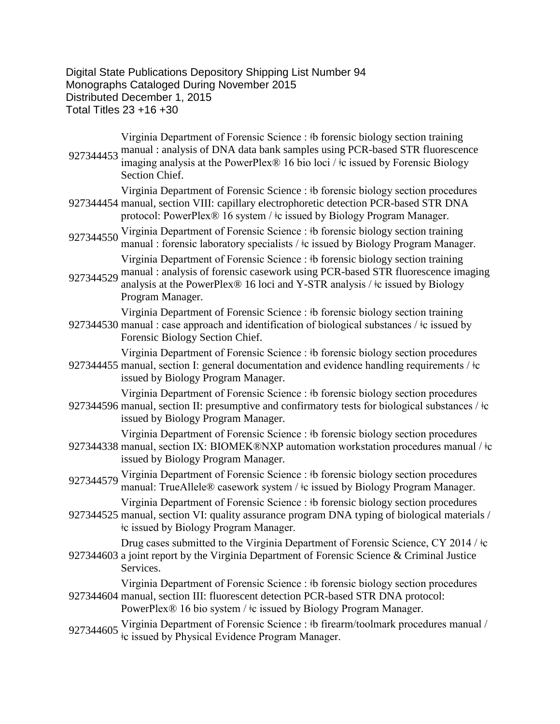Digital State Publications Depository Shipping List Number 94 Monographs Cataloged During November 2015 Distributed December 1, 2015 Total Titles 23 +16 +30

| 927344453 | Virginia Department of Forensic Science : #b forensic biology section training<br>manual: analysis of DNA data bank samples using PCR-based STR fluorescence<br>imaging analysis at the PowerPlex® 16 bio loci / ‡c issued by Forensic Biology<br>Section Chief.      |
|-----------|-----------------------------------------------------------------------------------------------------------------------------------------------------------------------------------------------------------------------------------------------------------------------|
|           | Virginia Department of Forensic Science : #b forensic biology section procedures<br>927344454 manual, section VIII: capillary electrophoretic detection PCR-based STR DNA<br>protocol: PowerPlex® 16 system / ‡c issued by Biology Program Manager.                   |
| 927344550 | Virginia Department of Forensic Science : #b forensic biology section training<br>manual : forensic laboratory specialists / $\pm$ c issued by Biology Program Manager.                                                                                               |
| 927344529 | Virginia Department of Forensic Science : #b forensic biology section training<br>manual : analysis of forensic casework using PCR-based STR fluorescence imaging<br>analysis at the PowerPlex® 16 loci and Y-STR analysis / ‡c issued by Biology<br>Program Manager. |
|           | Virginia Department of Forensic Science : #b forensic biology section training<br>927344530 manual : case approach and identification of biological substances / ‡c issued by<br>Forensic Biology Section Chief.                                                      |
|           | Virginia Department of Forensic Science : #b forensic biology section procedures<br>927344455 manual, section I: general documentation and evidence handling requirements / ‡c<br>issued by Biology Program Manager.                                                  |
|           | Virginia Department of Forensic Science : #b forensic biology section procedures<br>927344596 manual, section II: presumptive and confirmatory tests for biological substances / $\pm c$<br>issued by Biology Program Manager.                                        |
|           | Virginia Department of Forensic Science : #b forensic biology section procedures<br>927344338 manual, section IX: BIOMEK®NXP automation workstation procedures manual / ‡c<br>issued by Biology Program Manager.                                                      |
| 927344579 | Virginia Department of Forensic Science : #b forensic biology section procedures<br>manual: TrueAllele® casework system / ‡c issued by Biology Program Manager.                                                                                                       |
|           | Virginia Department of Forensic Science : #b forensic biology section procedures<br>927344525 manual, section VI: quality assurance program DNA typing of biological materials /<br>the issued by Biology Program Manager.                                            |
|           | Drug cases submitted to the Virginia Department of Forensic Science, CY 2014 / ‡c<br>927344603 a joint report by the Virginia Department of Forensic Science & Criminal Justice<br>Services.                                                                          |
|           | Virginia Department of Forensic Science : #b forensic biology section procedures<br>927344604 manual, section III: fluorescent detection PCR-based STR DNA protocol:<br>PowerPlex® 16 bio system / ‡c issued by Biology Program Manager.                              |
| 927344605 | Virginia Department of Forensic Science : #b firearm/toolmark procedures manual /<br>the issued by Physical Evidence Program Manager.                                                                                                                                 |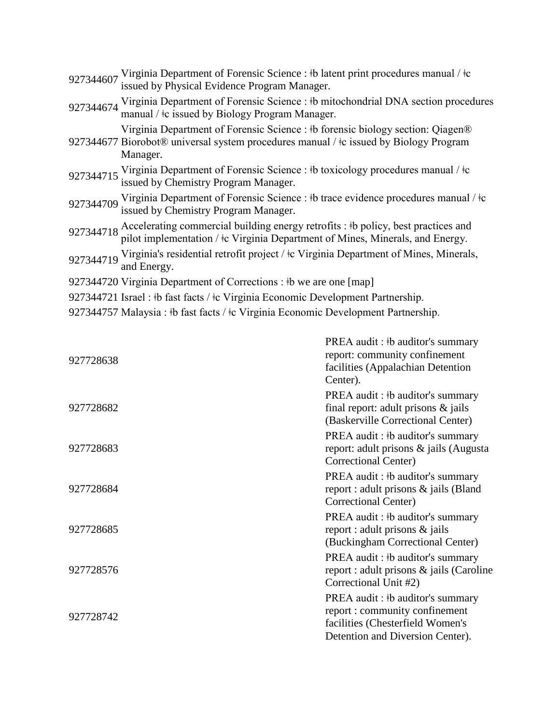| 927344607 Virginia Department of Forensic Science : #b latent print procedures manual / $\pm c$ issued by Physical Evidence Program Manager.                                        |
|-------------------------------------------------------------------------------------------------------------------------------------------------------------------------------------|
| 927344674 Virginia Department of Forensic Science : #b mitochondrial DNA section procedures<br>manual / $\pm c$ issued by Biology Program Manager.                                  |
| Virginia Department of Forensic Science : #b forensic biology section: Qiagen®<br>927344677 Biorobot® universal system procedures manual / ‡c issued by Biology Program<br>Manager. |
| 927344715 Virginia Department of Forensic Science : #b toxicology procedures manual / $\pm c$ issued by Chemistry Program Manager.                                                  |
| 927344709 Virginia Department of Forensic Science : #b trace evidence procedures manual / #c<br>issued by Chemistry Program Manager.                                                |
| 927344718 Accelerating commercial building energy retrofits : #b policy, best practices and pilot implementation / $\pm c$ Virginia Department of Mines, Minerals, and Energy.      |
| 927344719 Virginia's residential retrofit project / $\frac{1}{2}$ Virginia Department of Mines, Minerals,<br>and Energy.                                                            |
| 927344720 Virginia Department of Corrections : #b we are one [map]                                                                                                                  |
| 927344721 Israel : #b fast facts / #c Virginia Economic Development Partnership.                                                                                                    |
|                                                                                                                                                                                     |

927344757 Malaysia : ‡b fast facts / ‡c Virginia Economic Development Partnership.

| 927728638 | PREA audit: #b auditor's summary<br>report: community confinement<br>facilities (Appalachian Detention<br>Center).                         |
|-----------|--------------------------------------------------------------------------------------------------------------------------------------------|
| 927728682 | PREA audit: #b auditor's summary<br>final report: adult prisons $\&$ jails<br>(Baskerville Correctional Center)                            |
| 927728683 | PREA audit: #b auditor's summary<br>report: adult prisons & jails (Augusta)<br>Correctional Center)                                        |
| 927728684 | PREA audit: #b auditor's summary<br>report : adult prisons & jails (Bland<br>Correctional Center)                                          |
| 927728685 | PREA audit: #b auditor's summary<br>report : adult prisons $\&$ jails<br>(Buckingham Correctional Center)                                  |
| 927728576 | PREA audit: #b auditor's summary<br>report : adult prisons & jails (Caroline<br>Correctional Unit #2)                                      |
| 927728742 | PREA audit: #b auditor's summary<br>report : community confinement<br>facilities (Chesterfield Women's<br>Detention and Diversion Center). |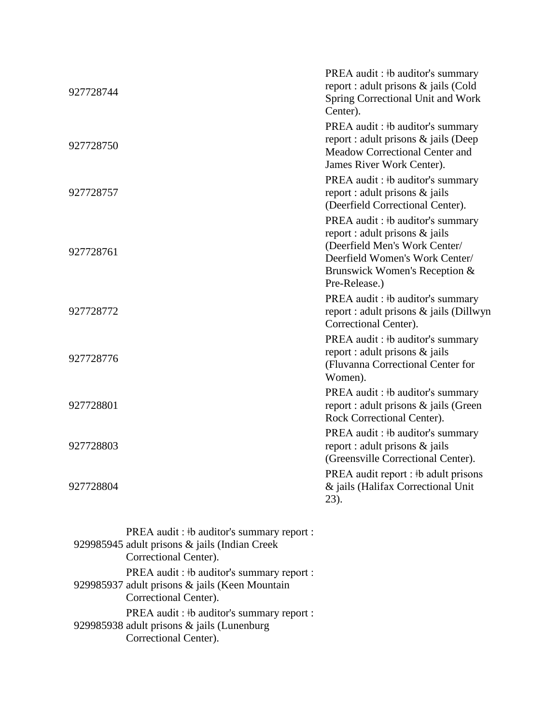| 927728744 |                                          | PREA audit : #b auditor's summary<br>report : adult prisons & jails (Cold<br>Spring Correctional Unit and Work<br>Center).                                                               |
|-----------|------------------------------------------|------------------------------------------------------------------------------------------------------------------------------------------------------------------------------------------|
| 927728750 |                                          | PREA audit: #b auditor's summary<br>report : adult prisons & jails (Deep<br>Meadow Correctional Center and<br>James River Work Center).                                                  |
| 927728757 |                                          | PREA audit : #b auditor's summary<br>report : adult prisons & jails<br>(Deerfield Correctional Center).                                                                                  |
| 927728761 |                                          | PREA audit : #b auditor's summary<br>report : adult prisons & jails<br>(Deerfield Men's Work Center/<br>Deerfield Women's Work Center/<br>Brunswick Women's Reception &<br>Pre-Release.) |
| 927728772 |                                          | PREA audit : #b auditor's summary<br>report : adult prisons & jails (Dillwyn<br>Correctional Center).                                                                                    |
| 927728776 |                                          | PREA audit : #b auditor's summary<br>report : adult prisons & jails<br>(Fluvanna Correctional Center for<br>Women).                                                                      |
| 927728801 |                                          | PREA audit : #b auditor's summary<br>report : adult prisons & jails (Green<br>Rock Correctional Center).                                                                                 |
| 927728803 |                                          | PREA audit : #b auditor's summary<br>report : adult prisons & jails<br>(Greensville Correctional Center).                                                                                |
| 927728804 |                                          | PREA audit report : #b adult prisons<br>& jails (Halifax Correctional Unit<br>23).                                                                                                       |
|           | PREA audit: #b auditor's summary report: |                                                                                                                                                                                          |

| I KEA audit. TO auditor S summaly report.                                                                             |
|-----------------------------------------------------------------------------------------------------------------------|
| 929985945 adult prisons & jails (Indian Creek                                                                         |
| Correctional Center).                                                                                                 |
| PREA audit : #b auditor's summary report :<br>929985937 adult prisons & jails (Keen Mountain<br>Correctional Center). |
| PREA audit: #b auditor's summary report:<br>929985938 adult prisons & jails (Lunenburg<br>Correctional Center).       |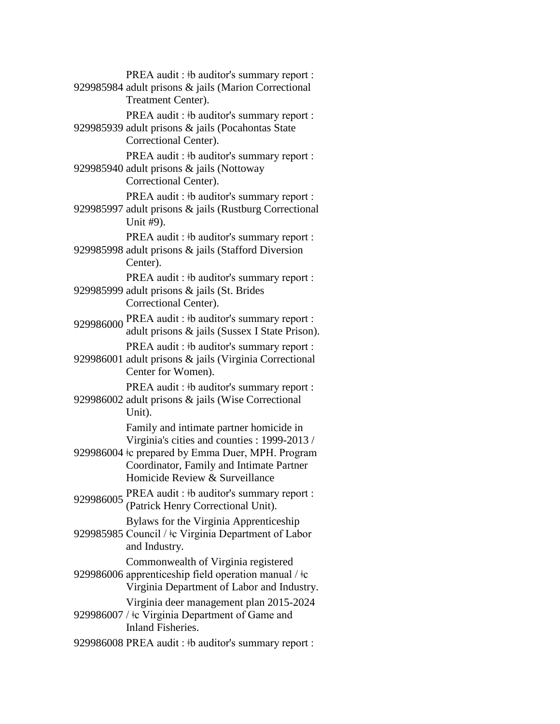929985984 adult prisons & jails (Marion Correctional PREA audit :  $\frac{1}{2}$  b auditor's summary report : Treatment Center). 929985939 adult prisons & jails (Pocahontas State PREA audit : ‡b auditor's summary report : Correctional Center). 929985940 adult prisons & jails (Nottoway PREA audit :  $\frac{1}{2}$  b auditor's summary report : Correctional Center). 929985997 adult prisons & jails (Rustburg Correctional PREA audit :  $\frac{1}{2}$  b auditor's summary report : Unit #9). 929985998 adult prisons & jails (Stafford Diversion PREA audit : ‡b auditor's summary report : Center). 929985999 adult prisons & jails (St. Brides PREA audit : ‡b auditor's summary report : Correctional Center). 929986000 PREA audit : ‡b auditor's summary report : adult prisons & jails (Sussex I State Prison). 929986001 adult prisons & jails (Virginia Correctional PREA audit :  $\frac{1}{2}$  b auditor's summary report : Center for Women). 929986002 adult prisons & jails (Wise Correctional PREA audit :  $\frac{1}{2}$  b auditor's summary report : Unit). 929986004 ǂc prepared by Emma Duer, MPH. Program Family and intimate partner homicide in Virginia's cities and counties : 1999-2013 / Coordinator, Family and Intimate Partner Homicide Review & Surveillance 929986005 PREA audit : ‡b auditor's summary report : (Patrick Henry Correctional Unit). 929985985 Council / ‡c Virginia Department of Labor Bylaws for the Virginia Apprenticeship and Industry. 929986006 apprenticeship field operation manual /  $\pm c$ Commonwealth of Virginia registered Virginia Department of Labor and Industry. 929986007 /  $\pm c$  Virginia Department of Game and Virginia deer management plan 2015-2024 Inland Fisheries. 929986008 PREA audit : ‡b auditor's summary report :